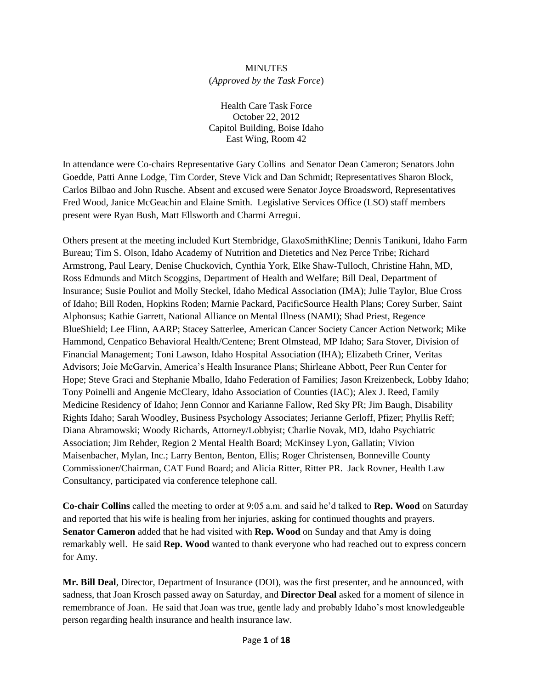## **MINUTES**

## (*Approved by the Task Force*)

Health Care Task Force October 22, 2012 Capitol Building, Boise Idaho East Wing, Room 42

In attendance were Co-chairs Representative Gary Collins and Senator Dean Cameron; Senators John Goedde, Patti Anne Lodge, Tim Corder, Steve Vick and Dan Schmidt; Representatives Sharon Block, Carlos Bilbao and John Rusche. Absent and excused were Senator Joyce Broadsword, Representatives Fred Wood, Janice McGeachin and Elaine Smith. Legislative Services Office (LSO) staff members present were Ryan Bush, Matt Ellsworth and Charmi Arregui.

Others present at the meeting included Kurt Stembridge, GlaxoSmithKline; Dennis Tanikuni, Idaho Farm Bureau; Tim S. Olson, Idaho Academy of Nutrition and Dietetics and Nez Perce Tribe; Richard Armstrong, Paul Leary, Denise Chuckovich, Cynthia York, Elke Shaw-Tulloch, Christine Hahn, MD, Ross Edmunds and Mitch Scoggins, Department of Health and Welfare; Bill Deal, Department of Insurance; Susie Pouliot and Molly Steckel, Idaho Medical Association (IMA); Julie Taylor, Blue Cross of Idaho; Bill Roden, Hopkins Roden; Marnie Packard, PacificSource Health Plans; Corey Surber, Saint Alphonsus; Kathie Garrett, National Alliance on Mental Illness (NAMI); Shad Priest, Regence BlueShield; Lee Flinn, AARP; Stacey Satterlee, American Cancer Society Cancer Action Network; Mike Hammond, Cenpatico Behavioral Health/Centene; Brent Olmstead, MP Idaho; Sara Stover, Division of Financial Management; Toni Lawson, Idaho Hospital Association (IHA); Elizabeth Criner, Veritas Advisors; Joie McGarvin, America's Health Insurance Plans; Shirleane Abbott, Peer Run Center for Hope; Steve Graci and Stephanie Mballo, Idaho Federation of Families; Jason Kreizenbeck, Lobby Idaho; Tony Poinelli and Angenie McCleary, Idaho Association of Counties (IAC); Alex J. Reed, Family Medicine Residency of Idaho; Jenn Connor and Karianne Fallow, Red Sky PR; Jim Baugh, Disability Rights Idaho; Sarah Woodley, Business Psychology Associates; Jerianne Gerloff, Pfizer; Phyllis Reff; Diana Abramowski; Woody Richards, Attorney/Lobbyist; Charlie Novak, MD, Idaho Psychiatric Association; Jim Rehder, Region 2 Mental Health Board; McKinsey Lyon, Gallatin; Vivion Maisenbacher, Mylan, Inc.; Larry Benton, Benton, Ellis; Roger Christensen, Bonneville County Commissioner/Chairman, CAT Fund Board; and Alicia Ritter, Ritter PR. Jack Rovner, Health Law Consultancy, participated via conference telephone call.

**Co-chair Collins** called the meeting to order at 9:05 a.m. and said he'd talked to **Rep. Wood** on Saturday and reported that his wife is healing from her injuries, asking for continued thoughts and prayers. **Senator Cameron** added that he had visited with **Rep. Wood** on Sunday and that Amy is doing remarkably well. He said **Rep. Wood** wanted to thank everyone who had reached out to express concern for Amy.

**Mr. Bill Deal**, Director, Department of Insurance (DOI), was the first presenter, and he announced, with sadness, that Joan Krosch passed away on Saturday, and **Director Deal** asked for a moment of silence in remembrance of Joan. He said that Joan was true, gentle lady and probably Idaho's most knowledgeable person regarding health insurance and health insurance law.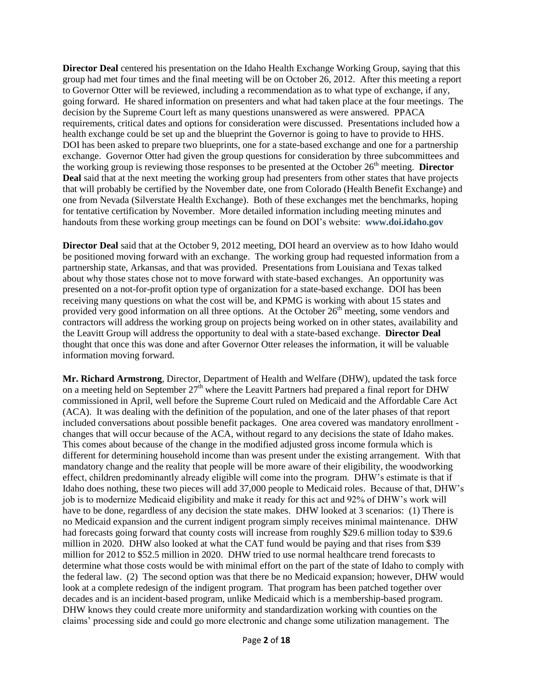**Director Deal** centered his presentation on the Idaho Health Exchange Working Group, saying that this group had met four times and the final meeting will be on October 26, 2012. After this meeting a report to Governor Otter will be reviewed, including a recommendation as to what type of exchange, if any, going forward. He shared information on presenters and what had taken place at the four meetings. The decision by the Supreme Court left as many questions unanswered as were answered. PPACA requirements, critical dates and options for consideration were discussed. Presentations included how a health exchange could be set up and the blueprint the Governor is going to have to provide to HHS. DOI has been asked to prepare two blueprints, one for a state-based exchange and one for a partnership exchange. Governor Otter had given the group questions for consideration by three subcommittees and the working group is reviewing those responses to be presented at the October 26th meeting. **Director Deal** said that at the next meeting the working group had presenters from other states that have projects that will probably be certified by the November date, one from Colorado (Health Benefit Exchange) and one from Nevada (Silverstate Health Exchange). Both of these exchanges met the benchmarks, hoping for tentative certification by November. More detailed information including meeting minutes and handouts from these working group meetings can be found on DOI's website: **[www.doi.idaho.gov](http://www.doi.idaho.gov/)**

**Director Deal** said that at the October 9, 2012 meeting, DOI heard an overview as to how Idaho would be positioned moving forward with an exchange. The working group had requested information from a partnership state, Arkansas, and that was provided. Presentations from Louisiana and Texas talked about why those states chose not to move forward with state-based exchanges. An opportunity was presented on a not-for-profit option type of organization for a state-based exchange. DOI has been receiving many questions on what the cost will be, and KPMG is working with about 15 states and provided very good information on all three options. At the October 26<sup>th</sup> meeting, some vendors and contractors will address the working group on projects being worked on in other states, availability and the Leavitt Group will address the opportunity to deal with a state-based exchange. **Director Deal** thought that once this was done and after Governor Otter releases the information, it will be valuable information moving forward.

**Mr. Richard Armstrong**, Director, Department of Health and Welfare (DHW), updated the task force on a meeting held on September 27<sup>th</sup> where the Leavitt Partners had prepared a final report for DHW commissioned in April, well before the Supreme Court ruled on Medicaid and the Affordable Care Act (ACA). It was dealing with the definition of the population, and one of the later phases of that report included conversations about possible benefit packages. One area covered was mandatory enrollment changes that will occur because of the ACA, without regard to any decisions the state of Idaho makes. This comes about because of the change in the modified adjusted gross income formula which is different for determining household income than was present under the existing arrangement. With that mandatory change and the reality that people will be more aware of their eligibility, the woodworking effect, children predominantly already eligible will come into the program. DHW's estimate is that if Idaho does nothing, these two pieces will add 37,000 people to Medicaid roles. Because of that, DHW's job is to modernize Medicaid eligibility and make it ready for this act and 92% of DHW's work will have to be done, regardless of any decision the state makes. DHW looked at 3 scenarios: (1) There is no Medicaid expansion and the current indigent program simply receives minimal maintenance. DHW had forecasts going forward that county costs will increase from roughly \$29.6 million today to \$39.6 million in 2020. DHW also looked at what the CAT fund would be paying and that rises from \$39 million for 2012 to \$52.5 million in 2020. DHW tried to use normal healthcare trend forecasts to determine what those costs would be with minimal effort on the part of the state of Idaho to comply with the federal law. (2) The second option was that there be no Medicaid expansion; however, DHW would look at a complete redesign of the indigent program. That program has been patched together over decades and is an incident-based program, unlike Medicaid which is a membership-based program. DHW knows they could create more uniformity and standardization working with counties on the claims' processing side and could go more electronic and change some utilization management. The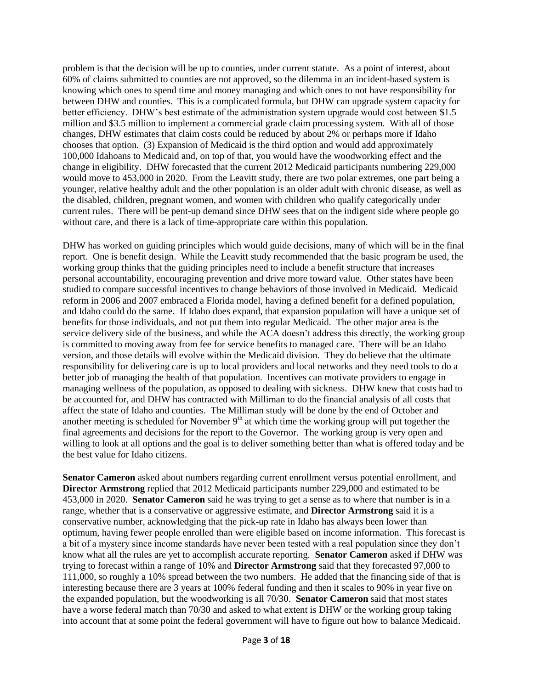problem is that the decision will be up to counties, under current statute. As a point of interest, about 60% of claims submitted to counties are not approved, so the dilemma in an incident-based system is knowing which ones to spend time and money managing and which ones to not have responsibility for between DHW and counties. This is a complicated formula, but DHW can upgrade system capacity for better efficiency. DHW's best estimate of the administration system upgrade would cost between \$1.5 million and \$3.5 million to implement a commercial grade claim processing system. With all of those changes, DHW estimates that claim costs could be reduced by about 2% or perhaps more if Idaho chooses that option. (3) Expansion of Medicaid is the third option and would add approximately 100,000 Idahoans to Medicaid and, on top of that, you would have the woodworking effect and the change in eligibility. DHW forecasted that the current 2012 Medicaid participants numbering 229,000 would move to 453,000 in 2020. From the Leavitt study, there are two polar extremes, one part being a younger, relative healthy adult and the other population is an older adult with chronic disease, as well as the disabled, children, pregnant women, and women with children who qualify categorically under current rules. There will be pent-up demand since DHW sees that on the indigent side where people go without care, and there is a lack of time-appropriate care within this population.

DHW has worked on guiding principles which would guide decisions, many of which will be in the final report. One is benefit design. While the Leavitt study recommended that the basic program be used, the working group thinks that the guiding principles need to include a benefit structure that increases personal accountability, encouraging prevention and drive more toward value. Other states have been studied to compare successful incentives to change behaviors of those involved in Medicaid. Medicaid reform in 2006 and 2007 embraced a Florida model, having a defined benefit for a defined population, and Idaho could do the same. If Idaho does expand, that expansion population will have a unique set of benefits for those individuals, and not put them into regular Medicaid. The other major area is the service delivery side of the business, and while the ACA doesn't address this directly, the working group is committed to moving away from fee for service benefits to managed care. There will be an Idaho version, and those details will evolve within the Medicaid division. They do believe that the ultimate responsibility for delivering care is up to local providers and local networks and they need tools to do a better job of managing the health of that population. Incentives can motivate providers to engage in managing wellness of the population, as opposed to dealing with sickness. DHW knew that costs had to be accounted for, and DHW has contracted with Milliman to do the financial analysis of all costs that affect the state of Idaho and counties. The Milliman study will be done by the end of October and another meeting is scheduled for November  $9<sup>th</sup>$  at which time the working group will put together the final agreements and decisions for the report to the Governor. The working group is very open and willing to look at all options and the goal is to deliver something better than what is offered today and be the best value for Idaho citizens.

**Senator Cameron** asked about numbers regarding current enrollment versus potential enrollment, and **Director Armstrong** replied that 2012 Medicaid participants number 229,000 and estimated to be 453,000 in 2020. **Senator Cameron** said he was trying to get a sense as to where that number is in a range, whether that is a conservative or aggressive estimate, and **Director Armstrong** said it is a conservative number, acknowledging that the pick-up rate in Idaho has always been lower than optimum, having fewer people enrolled than were eligible based on income information. This forecast is a bit of a mystery since income standards have never been tested with a real population since they don't know what all the rules are yet to accomplish accurate reporting. **Senator Cameron** asked if DHW was trying to forecast within a range of 10% and **Director Armstrong** said that they forecasted 97,000 to 111,000, so roughly a 10% spread between the two numbers. He added that the financing side of that is interesting because there are 3 years at 100% federal funding and then it scales to 90% in year five on the expanded population, but the woodworking is all 70/30. **Senator Cameron** said that most states have a worse federal match than 70/30 and asked to what extent is DHW or the working group taking into account that at some point the federal government will have to figure out how to balance Medicaid.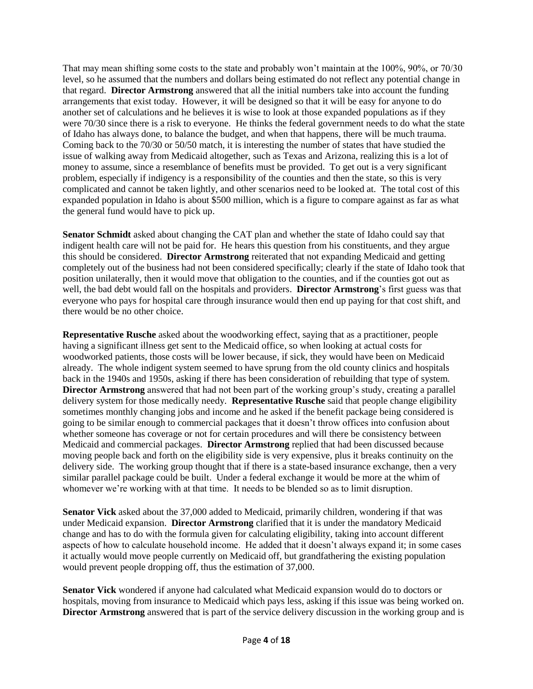That may mean shifting some costs to the state and probably won't maintain at the 100%, 90%, or 70/30 level, so he assumed that the numbers and dollars being estimated do not reflect any potential change in that regard. **Director Armstrong** answered that all the initial numbers take into account the funding arrangements that exist today. However, it will be designed so that it will be easy for anyone to do another set of calculations and he believes it is wise to look at those expanded populations as if they were 70/30 since there is a risk to everyone. He thinks the federal government needs to do what the state of Idaho has always done, to balance the budget, and when that happens, there will be much trauma. Coming back to the 70/30 or 50/50 match, it is interesting the number of states that have studied the issue of walking away from Medicaid altogether, such as Texas and Arizona, realizing this is a lot of money to assume, since a resemblance of benefits must be provided. To get out is a very significant problem, especially if indigency is a responsibility of the counties and then the state, so this is very complicated and cannot be taken lightly, and other scenarios need to be looked at. The total cost of this expanded population in Idaho is about \$500 million, which is a figure to compare against as far as what the general fund would have to pick up.

**Senator Schmidt** asked about changing the CAT plan and whether the state of Idaho could say that indigent health care will not be paid for. He hears this question from his constituents, and they argue this should be considered. **Director Armstrong** reiterated that not expanding Medicaid and getting completely out of the business had not been considered specifically; clearly if the state of Idaho took that position unilaterally, then it would move that obligation to the counties, and if the counties got out as well, the bad debt would fall on the hospitals and providers. **Director Armstrong**'s first guess was that everyone who pays for hospital care through insurance would then end up paying for that cost shift, and there would be no other choice.

**Representative Rusche** asked about the woodworking effect, saying that as a practitioner, people having a significant illness get sent to the Medicaid office, so when looking at actual costs for woodworked patients, those costs will be lower because, if sick, they would have been on Medicaid already. The whole indigent system seemed to have sprung from the old county clinics and hospitals back in the 1940s and 1950s, asking if there has been consideration of rebuilding that type of system. **Director Armstrong** answered that had not been part of the working group's study, creating a parallel delivery system for those medically needy. **Representative Rusche** said that people change eligibility sometimes monthly changing jobs and income and he asked if the benefit package being considered is going to be similar enough to commercial packages that it doesn't throw offices into confusion about whether someone has coverage or not for certain procedures and will there be consistency between Medicaid and commercial packages. **Director Armstrong** replied that had been discussed because moving people back and forth on the eligibility side is very expensive, plus it breaks continuity on the delivery side. The working group thought that if there is a state-based insurance exchange, then a very similar parallel package could be built. Under a federal exchange it would be more at the whim of whomever we're working with at that time. It needs to be blended so as to limit disruption.

**Senator Vick** asked about the 37,000 added to Medicaid, primarily children, wondering if that was under Medicaid expansion. **Director Armstrong** clarified that it is under the mandatory Medicaid change and has to do with the formula given for calculating eligibility, taking into account different aspects of how to calculate household income. He added that it doesn't always expand it; in some cases it actually would move people currently on Medicaid off, but grandfathering the existing population would prevent people dropping off, thus the estimation of 37,000.

**Senator Vick** wondered if anyone had calculated what Medicaid expansion would do to doctors or hospitals, moving from insurance to Medicaid which pays less, asking if this issue was being worked on. **Director Armstrong** answered that is part of the service delivery discussion in the working group and is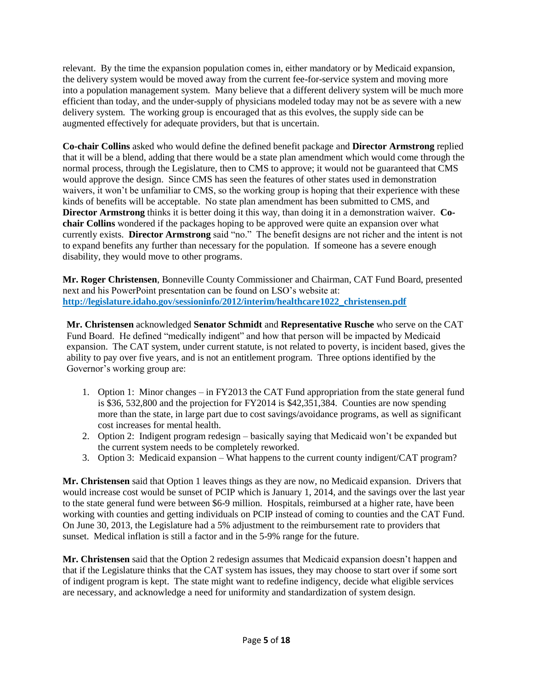relevant. By the time the expansion population comes in, either mandatory or by Medicaid expansion, the delivery system would be moved away from the current fee-for-service system and moving more into a population management system. Many believe that a different delivery system will be much more efficient than today, and the under-supply of physicians modeled today may not be as severe with a new delivery system. The working group is encouraged that as this evolves, the supply side can be augmented effectively for adequate providers, but that is uncertain.

**Co-chair Collins** asked who would define the defined benefit package and **Director Armstrong** replied that it will be a blend, adding that there would be a state plan amendment which would come through the normal process, through the Legislature, then to CMS to approve; it would not be guaranteed that CMS would approve the design. Since CMS has seen the features of other states used in demonstration waivers, it won't be unfamiliar to CMS, so the working group is hoping that their experience with these kinds of benefits will be acceptable. No state plan amendment has been submitted to CMS, and **Director Armstrong** thinks it is better doing it this way, than doing it in a demonstration waiver. **Cochair Collins** wondered if the packages hoping to be approved were quite an expansion over what currently exists. **Director Armstrong** said "no." The benefit designs are not richer and the intent is not to expand benefits any further than necessary for the population. If someone has a severe enough disability, they would move to other programs.

**Mr. Roger Christensen**, Bonneville County Commissioner and Chairman, CAT Fund Board, presented next and his PowerPoint presentation can be found on LSO's website at: **[http://legislature.idaho.gov/sessioninfo/2012/interim/healthcare1022\\_christensen.pdf](http://legislature.idaho.gov/sessioninfo/2012/interim/healthcare1022_christensen.pdf)**

**Mr. Christensen** acknowledged **Senator Schmidt** and **Representative Rusche** who serve on the CAT Fund Board. He defined "medically indigent" and how that person will be impacted by Medicaid expansion. The CAT system, under current statute, is not related to poverty, is incident based, gives the ability to pay over five years, and is not an entitlement program. Three options identified by the Governor's working group are:

- 1. Option 1: Minor changes in FY2013 the CAT Fund appropriation from the state general fund is \$36, 532,800 and the projection for FY2014 is \$42,351,384. Counties are now spending more than the state, in large part due to cost savings/avoidance programs, as well as significant cost increases for mental health.
- 2. Option 2: Indigent program redesign basically saying that Medicaid won't be expanded but the current system needs to be completely reworked.
- 3. Option 3: Medicaid expansion What happens to the current county indigent/CAT program?

**Mr. Christensen** said that Option 1 leaves things as they are now, no Medicaid expansion. Drivers that would increase cost would be sunset of PCIP which is January 1, 2014, and the savings over the last year to the state general fund were between \$6-9 million. Hospitals, reimbursed at a higher rate, have been working with counties and getting individuals on PCIP instead of coming to counties and the CAT Fund. On June 30, 2013, the Legislature had a 5% adjustment to the reimbursement rate to providers that sunset. Medical inflation is still a factor and in the 5-9% range for the future.

**Mr. Christensen** said that the Option 2 redesign assumes that Medicaid expansion doesn't happen and that if the Legislature thinks that the CAT system has issues, they may choose to start over if some sort of indigent program is kept. The state might want to redefine indigency, decide what eligible services are necessary, and acknowledge a need for uniformity and standardization of system design.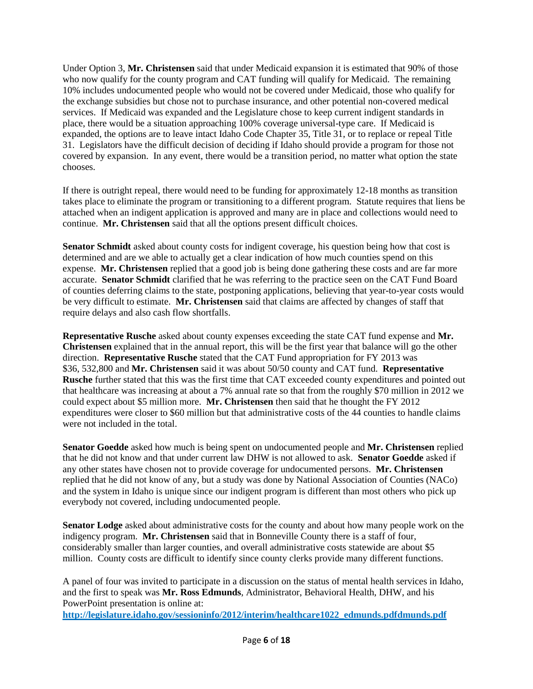Under Option 3, **Mr. Christensen** said that under Medicaid expansion it is estimated that 90% of those who now qualify for the county program and CAT funding will qualify for Medicaid. The remaining 10% includes undocumented people who would not be covered under Medicaid, those who qualify for the exchange subsidies but chose not to purchase insurance, and other potential non-covered medical services. If Medicaid was expanded and the Legislature chose to keep current indigent standards in place, there would be a situation approaching 100% coverage universal-type care. If Medicaid is expanded, the options are to leave intact Idaho Code Chapter 35, Title 31, or to replace or repeal Title 31. Legislators have the difficult decision of deciding if Idaho should provide a program for those not covered by expansion. In any event, there would be a transition period, no matter what option the state chooses.

If there is outright repeal, there would need to be funding for approximately 12-18 months as transition takes place to eliminate the program or transitioning to a different program. Statute requires that liens be attached when an indigent application is approved and many are in place and collections would need to continue. **Mr. Christensen** said that all the options present difficult choices.

**Senator Schmidt** asked about county costs for indigent coverage, his question being how that cost is determined and are we able to actually get a clear indication of how much counties spend on this expense. **Mr. Christensen** replied that a good job is being done gathering these costs and are far more accurate. **Senator Schmidt** clarified that he was referring to the practice seen on the CAT Fund Board of counties deferring claims to the state, postponing applications, believing that year-to-year costs would be very difficult to estimate. **Mr. Christensen** said that claims are affected by changes of staff that require delays and also cash flow shortfalls.

**Representative Rusche** asked about county expenses exceeding the state CAT fund expense and **Mr. Christensen** explained that in the annual report, this will be the first year that balance will go the other direction. **Representative Rusche** stated that the CAT Fund appropriation for FY 2013 was \$36, 532,800 and **Mr. Christensen** said it was about 50/50 county and CAT fund. **Representative Rusche** further stated that this was the first time that CAT exceeded county expenditures and pointed out that healthcare was increasing at about a 7% annual rate so that from the roughly \$70 million in 2012 we could expect about \$5 million more. **Mr. Christensen** then said that he thought the FY 2012 expenditures were closer to \$60 million but that administrative costs of the 44 counties to handle claims were not included in the total.

**Senator Goedde** asked how much is being spent on undocumented people and **Mr. Christensen** replied that he did not know and that under current law DHW is not allowed to ask. **Senator Goedde** asked if any other states have chosen not to provide coverage for undocumented persons. **Mr. Christensen** replied that he did not know of any, but a study was done by National Association of Counties (NACo) and the system in Idaho is unique since our indigent program is different than most others who pick up everybody not covered, including undocumented people.

**Senator Lodge** asked about administrative costs for the county and about how many people work on the indigency program. **Mr. Christensen** said that in Bonneville County there is a staff of four, considerably smaller than larger counties, and overall administrative costs statewide are about \$5 million. County costs are difficult to identify since county clerks provide many different functions.

A panel of four was invited to participate in a discussion on the status of mental health services in Idaho, and the first to speak was **Mr. Ross Edmunds**, Administrator, Behavioral Health, DHW, and his PowerPoint presentation is online at:

**[http://legislature.idaho.gov/sessioninfo/2012/interim/healthcare1022\\_edmunds.pdfdmunds.pdf](http://legislature.idaho.gov/sessioninfo/2012/interim/healthcare1022_edmunds.pdfdmunds.pdf)**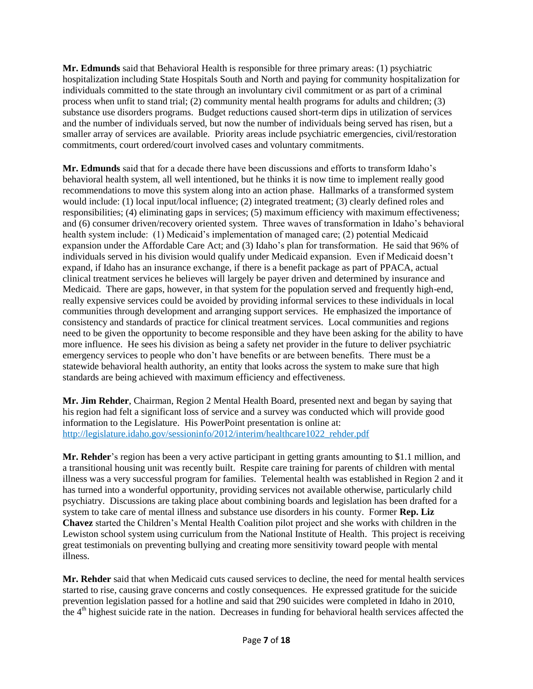**Mr. Edmunds** said that Behavioral Health is responsible for three primary areas: (1) psychiatric hospitalization including State Hospitals South and North and paying for community hospitalization for individuals committed to the state through an involuntary civil commitment or as part of a criminal process when unfit to stand trial; (2) community mental health programs for adults and children; (3) substance use disorders programs. Budget reductions caused short-term dips in utilization of services and the number of individuals served, but now the number of individuals being served has risen, but a smaller array of services are available. Priority areas include psychiatric emergencies, civil/restoration commitments, court ordered/court involved cases and voluntary commitments.

**Mr. Edmunds** said that for a decade there have been discussions and efforts to transform Idaho's behavioral health system, all well intentioned, but he thinks it is now time to implement really good recommendations to move this system along into an action phase. Hallmarks of a transformed system would include: (1) local input/local influence; (2) integrated treatment; (3) clearly defined roles and responsibilities; (4) eliminating gaps in services; (5) maximum efficiency with maximum effectiveness; and (6) consumer driven/recovery oriented system. Three waves of transformation in Idaho's behavioral health system include: (1) Medicaid's implementation of managed care; (2) potential Medicaid expansion under the Affordable Care Act; and (3) Idaho's plan for transformation. He said that 96% of individuals served in his division would qualify under Medicaid expansion. Even if Medicaid doesn't expand, if Idaho has an insurance exchange, if there is a benefit package as part of PPACA, actual clinical treatment services he believes will largely be payer driven and determined by insurance and Medicaid. There are gaps, however, in that system for the population served and frequently high-end, really expensive services could be avoided by providing informal services to these individuals in local communities through development and arranging support services. He emphasized the importance of consistency and standards of practice for clinical treatment services. Local communities and regions need to be given the opportunity to become responsible and they have been asking for the ability to have more influence. He sees his division as being a safety net provider in the future to deliver psychiatric emergency services to people who don't have benefits or are between benefits. There must be a statewide behavioral health authority, an entity that looks across the system to make sure that high standards are being achieved with maximum efficiency and effectiveness.

**Mr. Jim Rehder**, Chairman, Region 2 Mental Health Board, presented next and began by saying that his region had felt a significant loss of service and a survey was conducted which will provide good information to the Legislature. His PowerPoint presentation is online at: http://legislature.idaho.gov/sessioninfo/2012/interim/healthcare1022\_rehder.pdf

**Mr. Rehder**'s region has been a very active participant in getting grants amounting to \$1.1 million, and a transitional housing unit was recently built. Respite care training for parents of children with mental illness was a very successful program for families. Telemental health was established in Region 2 and it has turned into a wonderful opportunity, providing services not available otherwise, particularly child psychiatry. Discussions are taking place about combining boards and legislation has been drafted for a system to take care of mental illness and substance use disorders in his county. Former **Rep. Liz Chavez** started the Children's Mental Health Coalition pilot project and she works with children in the Lewiston school system using curriculum from the National Institute of Health. This project is receiving great testimonials on preventing bullying and creating more sensitivity toward people with mental illness.

**Mr. Rehder** said that when Medicaid cuts caused services to decline, the need for mental health services started to rise, causing grave concerns and costly consequences. He expressed gratitude for the suicide prevention legislation passed for a hotline and said that 290 suicides were completed in Idaho in 2010, the 4<sup>th</sup> highest suicide rate in the nation. Decreases in funding for behavioral health services affected the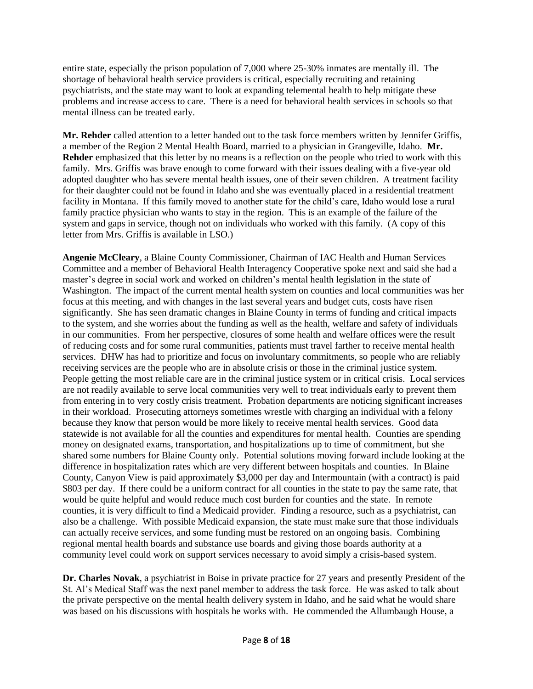entire state, especially the prison population of 7,000 where 25-30% inmates are mentally ill. The shortage of behavioral health service providers is critical, especially recruiting and retaining psychiatrists, and the state may want to look at expanding telemental health to help mitigate these problems and increase access to care. There is a need for behavioral health services in schools so that mental illness can be treated early.

**Mr. Rehder** called attention to a letter handed out to the task force members written by Jennifer Griffis, a member of the Region 2 Mental Health Board, married to a physician in Grangeville, Idaho. **Mr. Rehder** emphasized that this letter by no means is a reflection on the people who tried to work with this family. Mrs. Griffis was brave enough to come forward with their issues dealing with a five-year old adopted daughter who has severe mental health issues, one of their seven children. A treatment facility for their daughter could not be found in Idaho and she was eventually placed in a residential treatment facility in Montana. If this family moved to another state for the child's care, Idaho would lose a rural family practice physician who wants to stay in the region. This is an example of the failure of the system and gaps in service, though not on individuals who worked with this family. (A copy of this letter from Mrs. Griffis is available in LSO.)

**Angenie McCleary**, a Blaine County Commissioner, Chairman of IAC Health and Human Services Committee and a member of Behavioral Health Interagency Cooperative spoke next and said she had a master's degree in social work and worked on children's mental health legislation in the state of Washington. The impact of the current mental health system on counties and local communities was her focus at this meeting, and with changes in the last several years and budget cuts, costs have risen significantly. She has seen dramatic changes in Blaine County in terms of funding and critical impacts to the system, and she worries about the funding as well as the health, welfare and safety of individuals in our communities. From her perspective, closures of some health and welfare offices were the result of reducing costs and for some rural communities, patients must travel farther to receive mental health services. DHW has had to prioritize and focus on involuntary commitments, so people who are reliably receiving services are the people who are in absolute crisis or those in the criminal justice system. People getting the most reliable care are in the criminal justice system or in critical crisis. Local services are not readily available to serve local communities very well to treat individuals early to prevent them from entering in to very costly crisis treatment. Probation departments are noticing significant increases in their workload. Prosecuting attorneys sometimes wrestle with charging an individual with a felony because they know that person would be more likely to receive mental health services. Good data statewide is not available for all the counties and expenditures for mental health. Counties are spending money on designated exams, transportation, and hospitalizations up to time of commitment, but she shared some numbers for Blaine County only. Potential solutions moving forward include looking at the difference in hospitalization rates which are very different between hospitals and counties. In Blaine County, Canyon View is paid approximately \$3,000 per day and Intermountain (with a contract) is paid \$803 per day. If there could be a uniform contract for all counties in the state to pay the same rate, that would be quite helpful and would reduce much cost burden for counties and the state. In remote counties, it is very difficult to find a Medicaid provider. Finding a resource, such as a psychiatrist, can also be a challenge. With possible Medicaid expansion, the state must make sure that those individuals can actually receive services, and some funding must be restored on an ongoing basis. Combining regional mental health boards and substance use boards and giving those boards authority at a community level could work on support services necessary to avoid simply a crisis-based system.

**Dr. Charles Novak**, a psychiatrist in Boise in private practice for 27 years and presently President of the St. Al's Medical Staff was the next panel member to address the task force. He was asked to talk about the private perspective on the mental health delivery system in Idaho, and he said what he would share was based on his discussions with hospitals he works with. He commended the Allumbaugh House, a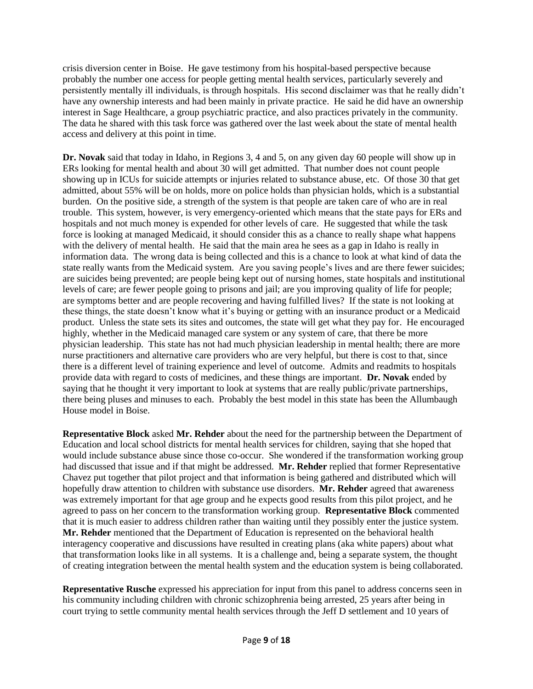crisis diversion center in Boise. He gave testimony from his hospital-based perspective because probably the number one access for people getting mental health services, particularly severely and persistently mentally ill individuals, is through hospitals. His second disclaimer was that he really didn't have any ownership interests and had been mainly in private practice. He said he did have an ownership interest in Sage Healthcare, a group psychiatric practice, and also practices privately in the community. The data he shared with this task force was gathered over the last week about the state of mental health access and delivery at this point in time.

**Dr. Novak** said that today in Idaho, in Regions 3, 4 and 5, on any given day 60 people will show up in ERs looking for mental health and about 30 will get admitted. That number does not count people showing up in ICUs for suicide attempts or injuries related to substance abuse, etc. Of those 30 that get admitted, about 55% will be on holds, more on police holds than physician holds, which is a substantial burden. On the positive side, a strength of the system is that people are taken care of who are in real trouble. This system, however, is very emergency-oriented which means that the state pays for ERs and hospitals and not much money is expended for other levels of care. He suggested that while the task force is looking at managed Medicaid, it should consider this as a chance to really shape what happens with the delivery of mental health. He said that the main area he sees as a gap in Idaho is really in information data. The wrong data is being collected and this is a chance to look at what kind of data the state really wants from the Medicaid system. Are you saving people's lives and are there fewer suicides; are suicides being prevented; are people being kept out of nursing homes, state hospitals and institutional levels of care; are fewer people going to prisons and jail; are you improving quality of life for people; are symptoms better and are people recovering and having fulfilled lives? If the state is not looking at these things, the state doesn't know what it's buying or getting with an insurance product or a Medicaid product. Unless the state sets its sites and outcomes, the state will get what they pay for. He encouraged highly, whether in the Medicaid managed care system or any system of care, that there be more physician leadership. This state has not had much physician leadership in mental health; there are more nurse practitioners and alternative care providers who are very helpful, but there is cost to that, since there is a different level of training experience and level of outcome. Admits and readmits to hospitals provide data with regard to costs of medicines, and these things are important. **Dr. Novak** ended by saying that he thought it very important to look at systems that are really public/private partnerships, there being pluses and minuses to each. Probably the best model in this state has been the Allumbaugh House model in Boise.

**Representative Block** asked **Mr. Rehder** about the need for the partnership between the Department of Education and local school districts for mental health services for children, saying that she hoped that would include substance abuse since those co-occur. She wondered if the transformation working group had discussed that issue and if that might be addressed. **Mr. Rehder** replied that former Representative Chavez put together that pilot project and that information is being gathered and distributed which will hopefully draw attention to children with substance use disorders. **Mr. Rehder** agreed that awareness was extremely important for that age group and he expects good results from this pilot project, and he agreed to pass on her concern to the transformation working group. **Representative Block** commented that it is much easier to address children rather than waiting until they possibly enter the justice system. **Mr. Rehder** mentioned that the Department of Education is represented on the behavioral health interagency cooperative and discussions have resulted in creating plans (aka white papers) about what that transformation looks like in all systems. It is a challenge and, being a separate system, the thought of creating integration between the mental health system and the education system is being collaborated.

**Representative Rusche** expressed his appreciation for input from this panel to address concerns seen in his community including children with chronic schizophrenia being arrested, 25 years after being in court trying to settle community mental health services through the Jeff D settlement and 10 years of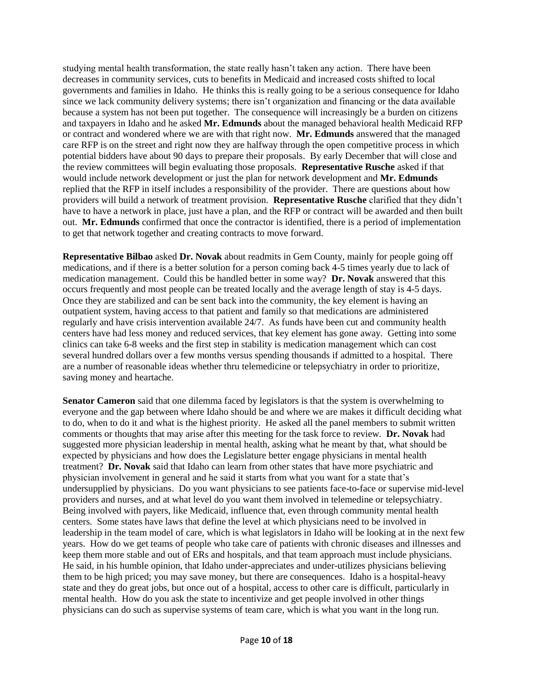studying mental health transformation, the state really hasn't taken any action. There have been decreases in community services, cuts to benefits in Medicaid and increased costs shifted to local governments and families in Idaho. He thinks this is really going to be a serious consequence for Idaho since we lack community delivery systems; there isn't organization and financing or the data available because a system has not been put together. The consequence will increasingly be a burden on citizens and taxpayers in Idaho and he asked **Mr. Edmunds** about the managed behavioral health Medicaid RFP or contract and wondered where we are with that right now. **Mr. Edmunds** answered that the managed care RFP is on the street and right now they are halfway through the open competitive process in which potential bidders have about 90 days to prepare their proposals. By early December that will close and the review committees will begin evaluating those proposals. **Representative Rusche** asked if that would include network development or just the plan for network development and **Mr. Edmunds**  replied that the RFP in itself includes a responsibility of the provider. There are questions about how providers will build a network of treatment provision. **Representative Rusche** clarified that they didn't have to have a network in place, just have a plan, and the RFP or contract will be awarded and then built out. **Mr. Edmunds** confirmed that once the contractor is identified, there is a period of implementation to get that network together and creating contracts to move forward.

**Representative Bilbao** asked **Dr. Novak** about readmits in Gem County, mainly for people going off medications, and if there is a better solution for a person coming back 4-5 times yearly due to lack of medication management. Could this be handled better in some way? **Dr. Novak** answered that this occurs frequently and most people can be treated locally and the average length of stay is 4-5 days. Once they are stabilized and can be sent back into the community, the key element is having an outpatient system, having access to that patient and family so that medications are administered regularly and have crisis intervention available 24/7. As funds have been cut and community health centers have had less money and reduced services, that key element has gone away. Getting into some clinics can take 6-8 weeks and the first step in stability is medication management which can cost several hundred dollars over a few months versus spending thousands if admitted to a hospital. There are a number of reasonable ideas whether thru telemedicine or telepsychiatry in order to prioritize, saving money and heartache.

**Senator Cameron** said that one dilemma faced by legislators is that the system is overwhelming to everyone and the gap between where Idaho should be and where we are makes it difficult deciding what to do, when to do it and what is the highest priority. He asked all the panel members to submit written comments or thoughts that may arise after this meeting for the task force to review. **Dr. Novak** had suggested more physician leadership in mental health, asking what he meant by that, what should be expected by physicians and how does the Legislature better engage physicians in mental health treatment? **Dr. Novak** said that Idaho can learn from other states that have more psychiatric and physician involvement in general and he said it starts from what you want for a state that's undersupplied by physicians. Do you want physicians to see patients face-to-face or supervise mid-level providers and nurses, and at what level do you want them involved in telemedine or telepsychiatry. Being involved with payers, like Medicaid, influence that, even through community mental health centers. Some states have laws that define the level at which physicians need to be involved in leadership in the team model of care, which is what legislators in Idaho will be looking at in the next few years. How do we get teams of people who take care of patients with chronic diseases and illnesses and keep them more stable and out of ERs and hospitals, and that team approach must include physicians. He said, in his humble opinion, that Idaho under-appreciates and under-utilizes physicians believing them to be high priced; you may save money, but there are consequences. Idaho is a hospital-heavy state and they do great jobs, but once out of a hospital, access to other care is difficult, particularly in mental health. How do you ask the state to incentivize and get people involved in other things physicians can do such as supervise systems of team care, which is what you want in the long run.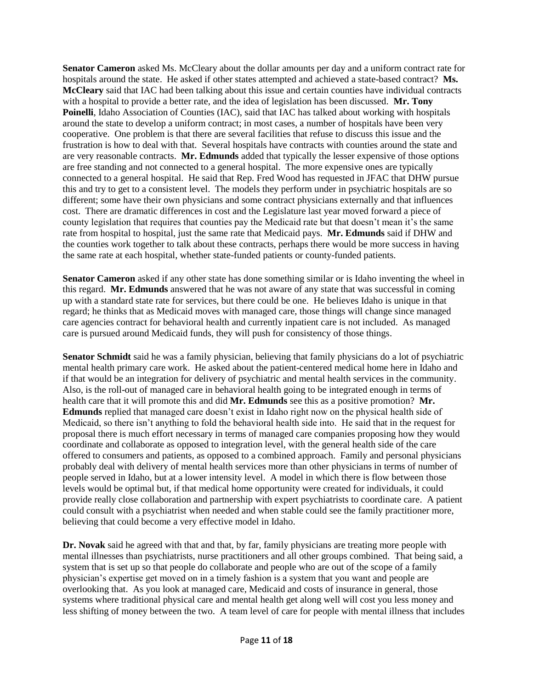**Senator Cameron** asked Ms. McCleary about the dollar amounts per day and a uniform contract rate for hospitals around the state. He asked if other states attempted and achieved a state-based contract? **Ms. McCleary** said that IAC had been talking about this issue and certain counties have individual contracts with a hospital to provide a better rate, and the idea of legislation has been discussed. **Mr. Tony Poinelli**, Idaho Association of Counties (IAC), said that IAC has talked about working with hospitals around the state to develop a uniform contract; in most cases, a number of hospitals have been very cooperative. One problem is that there are several facilities that refuse to discuss this issue and the frustration is how to deal with that. Several hospitals have contracts with counties around the state and are very reasonable contracts. **Mr. Edmunds** added that typically the lesser expensive of those options are free standing and not connected to a general hospital. The more expensive ones are typically connected to a general hospital. He said that Rep. Fred Wood has requested in JFAC that DHW pursue this and try to get to a consistent level. The models they perform under in psychiatric hospitals are so different; some have their own physicians and some contract physicians externally and that influences cost. There are dramatic differences in cost and the Legislature last year moved forward a piece of county legislation that requires that counties pay the Medicaid rate but that doesn't mean it's the same rate from hospital to hospital, just the same rate that Medicaid pays. **Mr. Edmunds** said if DHW and the counties work together to talk about these contracts, perhaps there would be more success in having the same rate at each hospital, whether state-funded patients or county-funded patients.

**Senator Cameron** asked if any other state has done something similar or is Idaho inventing the wheel in this regard. **Mr. Edmunds** answered that he was not aware of any state that was successful in coming up with a standard state rate for services, but there could be one. He believes Idaho is unique in that regard; he thinks that as Medicaid moves with managed care, those things will change since managed care agencies contract for behavioral health and currently inpatient care is not included. As managed care is pursued around Medicaid funds, they will push for consistency of those things.

**Senator Schmidt** said he was a family physician, believing that family physicians do a lot of psychiatric mental health primary care work. He asked about the patient-centered medical home here in Idaho and if that would be an integration for delivery of psychiatric and mental health services in the community. Also, is the roll-out of managed care in behavioral health going to be integrated enough in terms of health care that it will promote this and did **Mr. Edmunds** see this as a positive promotion? **Mr. Edmunds** replied that managed care doesn't exist in Idaho right now on the physical health side of Medicaid, so there isn't anything to fold the behavioral health side into. He said that in the request for proposal there is much effort necessary in terms of managed care companies proposing how they would coordinate and collaborate as opposed to integration level, with the general health side of the care offered to consumers and patients, as opposed to a combined approach. Family and personal physicians probably deal with delivery of mental health services more than other physicians in terms of number of people served in Idaho, but at a lower intensity level. A model in which there is flow between those levels would be optimal but, if that medical home opportunity were created for individuals, it could provide really close collaboration and partnership with expert psychiatrists to coordinate care. A patient could consult with a psychiatrist when needed and when stable could see the family practitioner more, believing that could become a very effective model in Idaho.

**Dr. Novak** said he agreed with that and that, by far, family physicians are treating more people with mental illnesses than psychiatrists, nurse practitioners and all other groups combined. That being said, a system that is set up so that people do collaborate and people who are out of the scope of a family physician's expertise get moved on in a timely fashion is a system that you want and people are overlooking that. As you look at managed care, Medicaid and costs of insurance in general, those systems where traditional physical care and mental health get along well will cost you less money and less shifting of money between the two. A team level of care for people with mental illness that includes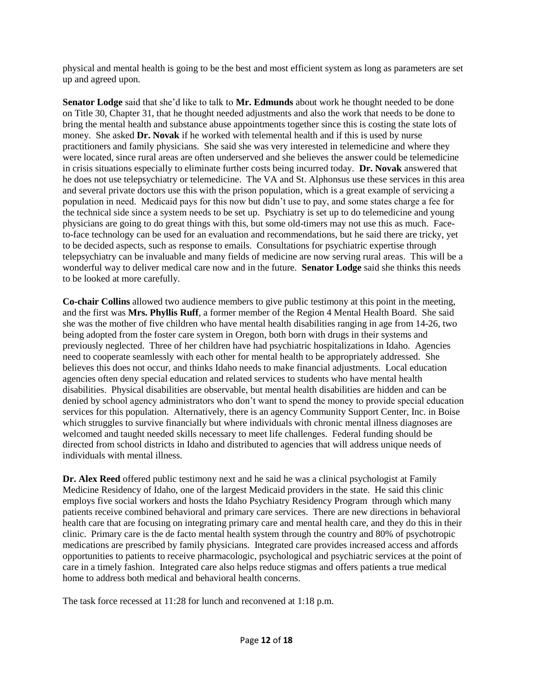physical and mental health is going to be the best and most efficient system as long as parameters are set up and agreed upon.

**Senator Lodge** said that she'd like to talk to **Mr. Edmunds** about work he thought needed to be done on Title 30, Chapter 31, that he thought needed adjustments and also the work that needs to be done to bring the mental health and substance abuse appointments together since this is costing the state lots of money. She asked **Dr. Novak** if he worked with telemental health and if this is used by nurse practitioners and family physicians. She said she was very interested in telemedicine and where they were located, since rural areas are often underserved and she believes the answer could be telemedicine in crisis situations especially to eliminate further costs being incurred today. **Dr. Novak** answered that he does not use telepsychiatry or telemedicine. The VA and St. Alphonsus use these services in this area and several private doctors use this with the prison population, which is a great example of servicing a population in need. Medicaid pays for this now but didn't use to pay, and some states charge a fee for the technical side since a system needs to be set up. Psychiatry is set up to do telemedicine and young physicians are going to do great things with this, but some old-timers may not use this as much. Faceto-face technology can be used for an evaluation and recommendations, but he said there are tricky, yet to be decided aspects, such as response to emails. Consultations for psychiatric expertise through telepsychiatry can be invaluable and many fields of medicine are now serving rural areas. This will be a wonderful way to deliver medical care now and in the future. **Senator Lodge** said she thinks this needs to be looked at more carefully.

**Co-chair Collins** allowed two audience members to give public testimony at this point in the meeting, and the first was **Mrs. Phyllis Ruff**, a former member of the Region 4 Mental Health Board. She said she was the mother of five children who have mental health disabilities ranging in age from 14-26, two being adopted from the foster care system in Oregon, both born with drugs in their systems and previously neglected. Three of her children have had psychiatric hospitalizations in Idaho. Agencies need to cooperate seamlessly with each other for mental health to be appropriately addressed. She believes this does not occur, and thinks Idaho needs to make financial adjustments. Local education agencies often deny special education and related services to students who have mental health disabilities. Physical disabilities are observable, but mental health disabilities are hidden and can be denied by school agency administrators who don't want to spend the money to provide special education services for this population. Alternatively, there is an agency Community Support Center, Inc. in Boise which struggles to survive financially but where individuals with chronic mental illness diagnoses are welcomed and taught needed skills necessary to meet life challenges. Federal funding should be directed from school districts in Idaho and distributed to agencies that will address unique needs of individuals with mental illness.

**Dr. Alex Reed** offered public testimony next and he said he was a clinical psychologist at Family Medicine Residency of Idaho, one of the largest Medicaid providers in the state. He said this clinic employs five social workers and hosts the Idaho Psychiatry Residency Program through which many patients receive combined behavioral and primary care services. There are new directions in behavioral health care that are focusing on integrating primary care and mental health care, and they do this in their clinic. Primary care is the de facto mental health system through the country and 80% of psychotropic medications are prescribed by family physicians. Integrated care provides increased access and affords opportunities to patients to receive pharmacologic, psychological and psychiatric services at the point of care in a timely fashion. Integrated care also helps reduce stigmas and offers patients a true medical home to address both medical and behavioral health concerns.

The task force recessed at 11:28 for lunch and reconvened at 1:18 p.m.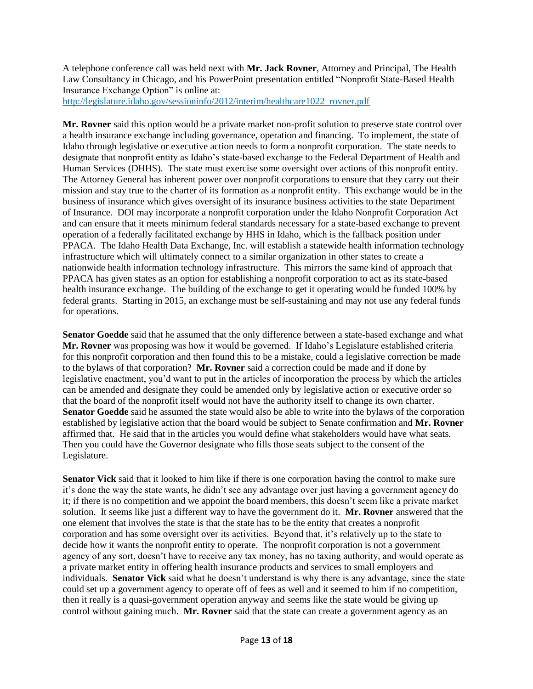A telephone conference call was held next with **Mr. Jack Rovner**, Attorney and Principal, The Health Law Consultancy in Chicago, and his PowerPoint presentation entitled "Nonprofit State-Based Health Insurance Exchange Option" is online at:

http://legislature.idaho.gov/sessioninfo/2012/interim/healthcare1022\_rovner.pdf

**Mr. Rovner** said this option would be a private market non-profit solution to preserve state control over a health insurance exchange including governance, operation and financing. To implement, the state of Idaho through legislative or executive action needs to form a nonprofit corporation. The state needs to designate that nonprofit entity as Idaho's state-based exchange to the Federal Department of Health and Human Services (DHHS). The state must exercise some oversight over actions of this nonprofit entity. The Attorney General has inherent power over nonprofit corporations to ensure that they carry out their mission and stay true to the charter of its formation as a nonprofit entity. This exchange would be in the business of insurance which gives oversight of its insurance business activities to the state Department of Insurance. DOI may incorporate a nonprofit corporation under the Idaho Nonprofit Corporation Act and can ensure that it meets minimum federal standards necessary for a state-based exchange to prevent operation of a federally facilitated exchange by HHS in Idaho, which is the fallback position under PPACA. The Idaho Health Data Exchange, Inc. will establish a statewide health information technology infrastructure which will ultimately connect to a similar organization in other states to create a nationwide health information technology infrastructure. This mirrors the same kind of approach that PPACA has given states as an option for establishing a nonprofit corporation to act as its state-based health insurance exchange. The building of the exchange to get it operating would be funded 100% by federal grants. Starting in 2015, an exchange must be self-sustaining and may not use any federal funds for operations.

**Senator Goedde** said that he assumed that the only difference between a state-based exchange and what **Mr. Rovner** was proposing was how it would be governed. If Idaho's Legislature established criteria for this nonprofit corporation and then found this to be a mistake, could a legislative correction be made to the bylaws of that corporation? **Mr. Rovner** said a correction could be made and if done by legislative enactment, you'd want to put in the articles of incorporation the process by which the articles can be amended and designate they could be amended only by legislative action or executive order so that the board of the nonprofit itself would not have the authority itself to change its own charter. **Senator Goedde** said he assumed the state would also be able to write into the bylaws of the corporation established by legislative action that the board would be subject to Senate confirmation and **Mr. Rovner** affirmed that. He said that in the articles you would define what stakeholders would have what seats. Then you could have the Governor designate who fills those seats subject to the consent of the Legislature.

**Senator Vick** said that it looked to him like if there is one corporation having the control to make sure it's done the way the state wants, he didn't see any advantage over just having a government agency do it; if there is no competition and we appoint the board members, this doesn't seem like a private market solution. It seems like just a different way to have the government do it. **Mr. Rovner** answered that the one element that involves the state is that the state has to be the entity that creates a nonprofit corporation and has some oversight over its activities. Beyond that, it's relatively up to the state to decide how it wants the nonprofit entity to operate. The nonprofit corporation is not a government agency of any sort, doesn't have to receive any tax money, has no taxing authority, and would operate as a private market entity in offering health insurance products and services to small employers and individuals. **Senator Vick** said what he doesn't understand is why there is any advantage, since the state could set up a government agency to operate off of fees as well and it seemed to him if no competition, then it really is a quasi-government operation anyway and seems like the state would be giving up control without gaining much. **Mr. Rovner** said that the state can create a government agency as an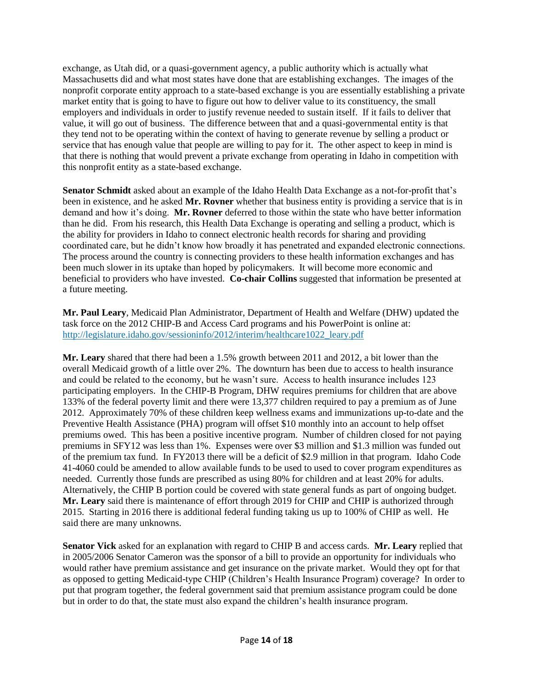exchange, as Utah did, or a quasi-government agency, a public authority which is actually what Massachusetts did and what most states have done that are establishing exchanges. The images of the nonprofit corporate entity approach to a state-based exchange is you are essentially establishing a private market entity that is going to have to figure out how to deliver value to its constituency, the small employers and individuals in order to justify revenue needed to sustain itself. If it fails to deliver that value, it will go out of business. The difference between that and a quasi-governmental entity is that they tend not to be operating within the context of having to generate revenue by selling a product or service that has enough value that people are willing to pay for it. The other aspect to keep in mind is that there is nothing that would prevent a private exchange from operating in Idaho in competition with this nonprofit entity as a state-based exchange.

**Senator Schmidt** asked about an example of the Idaho Health Data Exchange as a not-for-profit that's been in existence, and he asked **Mr. Rovner** whether that business entity is providing a service that is in demand and how it's doing. **Mr. Rovner** deferred to those within the state who have better information than he did. From his research, this Health Data Exchange is operating and selling a product, which is the ability for providers in Idaho to connect electronic health records for sharing and providing coordinated care, but he didn't know how broadly it has penetrated and expanded electronic connections. The process around the country is connecting providers to these health information exchanges and has been much slower in its uptake than hoped by policymakers. It will become more economic and beneficial to providers who have invested. **Co-chair Collins** suggested that information be presented at a future meeting.

**Mr. Paul Leary**, Medicaid Plan Administrator, Department of Health and Welfare (DHW) updated the task force on the 2012 CHIP-B and Access Card programs and his PowerPoint is online at: [http://legislature.idaho.gov/sessioninfo/2012/interim/healthcare1022\\_leary.pdf](http://legislature.idaho.gov/sessioninfo/2012/interim/healthcare1022_leary.pdf)

**Mr. Leary** shared that there had been a 1.5% growth between 2011 and 2012, a bit lower than the overall Medicaid growth of a little over 2%. The downturn has been due to access to health insurance and could be related to the economy, but he wasn't sure. Access to health insurance includes 123 participating employers. In the CHIP-B Program, DHW requires premiums for children that are above 133% of the federal poverty limit and there were 13,377 children required to pay a premium as of June 2012. Approximately 70% of these children keep wellness exams and immunizations up-to-date and the Preventive Health Assistance (PHA) program will offset \$10 monthly into an account to help offset premiums owed. This has been a positive incentive program. Number of children closed for not paying premiums in SFY12 was less than 1%. Expenses were over \$3 million and \$1.3 million was funded out of the premium tax fund. In FY2013 there will be a deficit of \$2.9 million in that program. Idaho Code 41-4060 could be amended to allow available funds to be used to used to cover program expenditures as needed. Currently those funds are prescribed as using 80% for children and at least 20% for adults. Alternatively, the CHIP B portion could be covered with state general funds as part of ongoing budget. **Mr. Leary** said there is maintenance of effort through 2019 for CHIP and CHIP is authorized through 2015. Starting in 2016 there is additional federal funding taking us up to 100% of CHIP as well. He said there are many unknowns.

**Senator Vick** asked for an explanation with regard to CHIP B and access cards. **Mr. Leary** replied that in 2005/2006 Senator Cameron was the sponsor of a bill to provide an opportunity for individuals who would rather have premium assistance and get insurance on the private market. Would they opt for that as opposed to getting Medicaid-type CHIP (Children's Health Insurance Program) coverage? In order to put that program together, the federal government said that premium assistance program could be done but in order to do that, the state must also expand the children's health insurance program.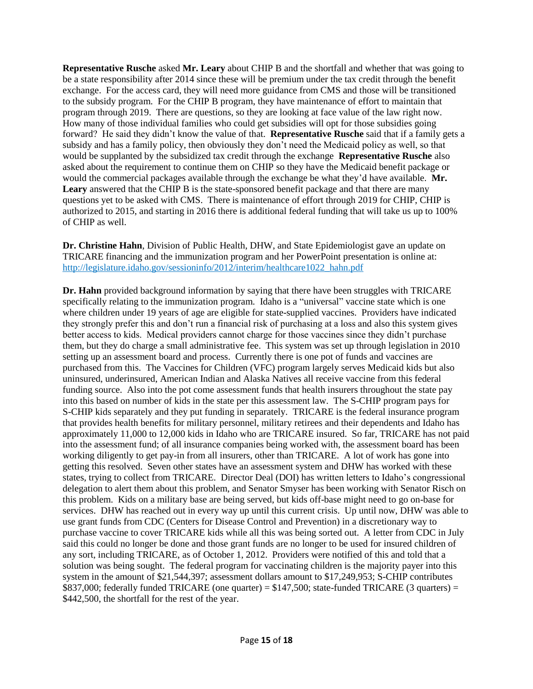**Representative Rusche** asked **Mr. Leary** about CHIP B and the shortfall and whether that was going to be a state responsibility after 2014 since these will be premium under the tax credit through the benefit exchange. For the access card, they will need more guidance from CMS and those will be transitioned to the subsidy program. For the CHIP B program, they have maintenance of effort to maintain that program through 2019. There are questions, so they are looking at face value of the law right now. How many of those individual families who could get subsidies will opt for those subsidies going forward? He said they didn't know the value of that. **Representative Rusche** said that if a family gets a subsidy and has a family policy, then obviously they don't need the Medicaid policy as well, so that would be supplanted by the subsidized tax credit through the exchange **Representative Rusche** also asked about the requirement to continue them on CHIP so they have the Medicaid benefit package or would the commercial packages available through the exchange be what they'd have available. **Mr. Leary** answered that the CHIP B is the state-sponsored benefit package and that there are many questions yet to be asked with CMS. There is maintenance of effort through 2019 for CHIP, CHIP is authorized to 2015, and starting in 2016 there is additional federal funding that will take us up to 100% of CHIP as well.

**Dr. Christine Hahn**, Division of Public Health, DHW, and State Epidemiologist gave an update on TRICARE financing and the immunization program and her PowerPoint presentation is online at: [http://legislature.idaho.gov/sessioninfo/2012/interim/healthcare1022\\_hahn.pdf](http://legislature.idaho.gov/sessioninfo/2012/interim/healthcare1022_hahn.pdf)

**Dr. Hahn** provided background information by saying that there have been struggles with TRICARE specifically relating to the immunization program. Idaho is a "universal" vaccine state which is one where children under 19 years of age are eligible for state-supplied vaccines. Providers have indicated they strongly prefer this and don't run a financial risk of purchasing at a loss and also this system gives better access to kids. Medical providers cannot charge for those vaccines since they didn't purchase them, but they do charge a small administrative fee. This system was set up through legislation in 2010 setting up an assessment board and process. Currently there is one pot of funds and vaccines are purchased from this. The Vaccines for Children (VFC) program largely serves Medicaid kids but also uninsured, underinsured, American Indian and Alaska Natives all receive vaccine from this federal funding source. Also into the pot come assessment funds that health insurers throughout the state pay into this based on number of kids in the state per this assessment law. The S-CHIP program pays for S-CHIP kids separately and they put funding in separately. TRICARE is the federal insurance program that provides health benefits for military personnel, military retirees and their dependents and Idaho has approximately 11,000 to 12,000 kids in Idaho who are TRICARE insured. So far, TRICARE has not paid into the assessment fund; of all insurance companies being worked with, the assessment board has been working diligently to get pay-in from all insurers, other than TRICARE. A lot of work has gone into getting this resolved. Seven other states have an assessment system and DHW has worked with these states, trying to collect from TRICARE. Director Deal (DOI) has written letters to Idaho's congressional delegation to alert them about this problem, and Senator Smyser has been working with Senator Risch on this problem. Kids on a military base are being served, but kids off-base might need to go on-base for services. DHW has reached out in every way up until this current crisis. Up until now, DHW was able to use grant funds from CDC (Centers for Disease Control and Prevention) in a discretionary way to purchase vaccine to cover TRICARE kids while all this was being sorted out. A letter from CDC in July said this could no longer be done and those grant funds are no longer to be used for insured children of any sort, including TRICARE, as of October 1, 2012. Providers were notified of this and told that a solution was being sought. The federal program for vaccinating children is the majority payer into this system in the amount of \$21,544,397; assessment dollars amount to \$17,249,953; S-CHIP contributes \$837,000; federally funded TRICARE (one quarter) = \$147,500; state-funded TRICARE (3 quarters) = \$442,500, the shortfall for the rest of the year.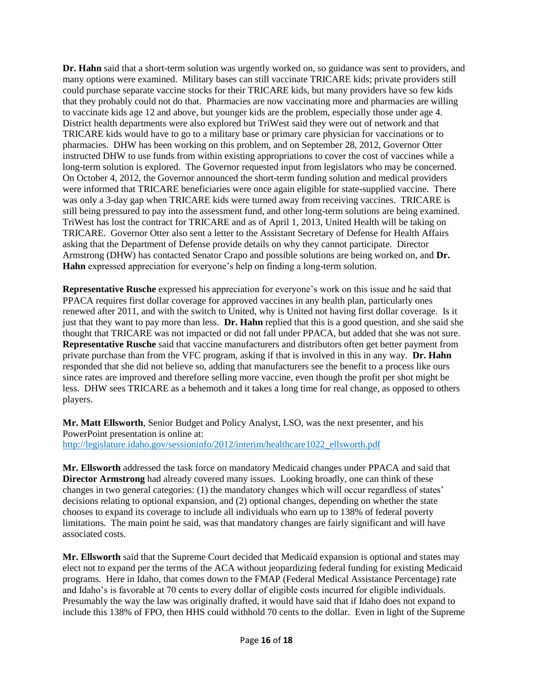**Dr. Hahn** said that a short-term solution was urgently worked on, so guidance was sent to providers, and many options were examined. Military bases can still vaccinate TRICARE kids; private providers still could purchase separate vaccine stocks for their TRICARE kids, but many providers have so few kids that they probably could not do that. Pharmacies are now vaccinating more and pharmacies are willing to vaccinate kids age 12 and above, but younger kids are the problem, especially those under age 4. District health departments were also explored but TriWest said they were out of network and that TRICARE kids would have to go to a military base or primary care physician for vaccinations or to pharmacies. DHW has been working on this problem, and on September 28, 2012, Governor Otter instructed DHW to use funds from within existing appropriations to cover the cost of vaccines while a long-term solution is explored. The Governor requested input from legislators who may be concerned. On October 4, 2012, the Governor announced the short-term funding solution and medical providers were informed that TRICARE beneficiaries were once again eligible for state-supplied vaccine. There was only a 3-day gap when TRICARE kids were turned away from receiving vaccines. TRICARE is still being pressured to pay into the assessment fund, and other long-term solutions are being examined. TriWest has lost the contract for TRICARE and as of April 1, 2013, United Health will be taking on TRICARE. Governor Otter also sent a letter to the Assistant Secretary of Defense for Health Affairs asking that the Department of Defense provide details on why they cannot participate. Director Armstrong (DHW) has contacted Senator Crapo and possible solutions are being worked on, and **Dr. Hahn** expressed appreciation for everyone's help on finding a long-term solution.

**Representative Rusche** expressed his appreciation for everyone's work on this issue and he said that PPACA requires first dollar coverage for approved vaccines in any health plan, particularly ones renewed after 2011, and with the switch to United, why is United not having first dollar coverage. Is it just that they want to pay more than less. **Dr. Hahn** replied that this is a good question, and she said she thought that TRICARE was not impacted or did not fall under PPACA, but added that she was not sure. **Representative Rusche** said that vaccine manufacturers and distributors often get better payment from private purchase than from the VFC program, asking if that is involved in this in any way. **Dr. Hahn** responded that she did not believe so, adding that manufacturers see the benefit to a process like ours since rates are improved and therefore selling more vaccine, even though the profit per shot might be less. DHW sees TRICARE as a behemoth and it takes a long time for real change, as opposed to others players.

**Mr. Matt Ellsworth**, Senior Budget and Policy Analyst, LSO, was the next presenter, and his PowerPoint presentation is online at: http://legislature.idaho.gov/sessioninfo/2012/interim/healthcare1022\_ellsworth.pdf

**Mr. Ellsworth** addressed the task force on mandatory Medicaid changes under PPACA and said that **Director Armstrong** had already covered many issues. Looking broadly, one can think of these changes in two general categories: (1) the mandatory changes which will occur regardless of states' decisions relating to optional expansion, and (2) optional changes, depending on whether the state chooses to expand its coverage to include all individuals who earn up to 138% of federal poverty limitations. The main point he said, was that mandatory changes are fairly significant and will have associated costs.

**Mr. Ellsworth** said that the Supreme Court decided that Medicaid expansion is optional and states may elect not to expand per the terms of the ACA without jeopardizing federal funding for existing Medicaid programs. Here in Idaho, that comes down to the FMAP (Federal Medical Assistance Percentage) rate and Idaho's is favorable at 70 cents to every dollar of eligible costs incurred for eligible individuals. Presumably the way the law was originally drafted, it would have said that if Idaho does not expand to include this 138% of FPO, then HHS could withhold 70 cents to the dollar. Even in light of the Supreme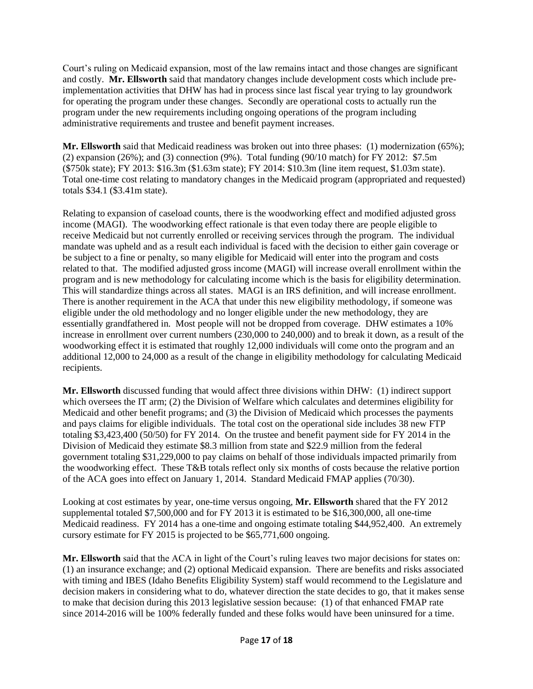Court's ruling on Medicaid expansion, most of the law remains intact and those changes are significant and costly. **Mr. Ellsworth** said that mandatory changes include development costs which include preimplementation activities that DHW has had in process since last fiscal year trying to lay groundwork for operating the program under these changes. Secondly are operational costs to actually run the program under the new requirements including ongoing operations of the program including administrative requirements and trustee and benefit payment increases.

**Mr. Ellsworth** said that Medicaid readiness was broken out into three phases: (1) modernization (65%); (2) expansion (26%); and (3) connection (9%). Total funding (90/10 match) for FY 2012: \$7.5m (\$750k state); FY 2013: \$16.3m (\$1.63m state); FY 2014: \$10.3m (line item request, \$1.03m state). Total one-time cost relating to mandatory changes in the Medicaid program (appropriated and requested) totals \$34.1 (\$3.41m state).

Relating to expansion of caseload counts, there is the woodworking effect and modified adjusted gross income (MAGI). The woodworking effect rationale is that even today there are people eligible to receive Medicaid but not currently enrolled or receiving services through the program. The individual mandate was upheld and as a result each individual is faced with the decision to either gain coverage or be subject to a fine or penalty, so many eligible for Medicaid will enter into the program and costs related to that. The modified adjusted gross income (MAGI) will increase overall enrollment within the program and is new methodology for calculating income which is the basis for eligibility determination. This will standardize things across all states. MAGI is an IRS definition, and will increase enrollment. There is another requirement in the ACA that under this new eligibility methodology, if someone was eligible under the old methodology and no longer eligible under the new methodology, they are essentially grandfathered in. Most people will not be dropped from coverage. DHW estimates a 10% increase in enrollment over current numbers (230,000 to 240,000) and to break it down, as a result of the woodworking effect it is estimated that roughly 12,000 individuals will come onto the program and an additional 12,000 to 24,000 as a result of the change in eligibility methodology for calculating Medicaid recipients.

**Mr. Ellsworth** discussed funding that would affect three divisions within DHW: (1) indirect support which oversees the IT arm; (2) the Division of Welfare which calculates and determines eligibility for Medicaid and other benefit programs; and (3) the Division of Medicaid which processes the payments and pays claims for eligible individuals. The total cost on the operational side includes 38 new FTP totaling \$3,423,400 (50/50) for FY 2014. On the trustee and benefit payment side for FY 2014 in the Division of Medicaid they estimate \$8.3 million from state and \$22.9 million from the federal government totaling \$31,229,000 to pay claims on behalf of those individuals impacted primarily from the woodworking effect. These T&B totals reflect only six months of costs because the relative portion of the ACA goes into effect on January 1, 2014. Standard Medicaid FMAP applies (70/30).

Looking at cost estimates by year, one-time versus ongoing, **Mr. Ellsworth** shared that the FY 2012 supplemental totaled \$7,500,000 and for FY 2013 it is estimated to be \$16,300,000, all one-time Medicaid readiness. FY 2014 has a one-time and ongoing estimate totaling \$44,952,400. An extremely cursory estimate for FY 2015 is projected to be \$65,771,600 ongoing.

**Mr. Ellsworth** said that the ACA in light of the Court's ruling leaves two major decisions for states on: (1) an insurance exchange; and (2) optional Medicaid expansion. There are benefits and risks associated with timing and IBES (Idaho Benefits Eligibility System) staff would recommend to the Legislature and decision makers in considering what to do, whatever direction the state decides to go, that it makes sense to make that decision during this 2013 legislative session because: (1) of that enhanced FMAP rate since 2014-2016 will be 100% federally funded and these folks would have been uninsured for a time.